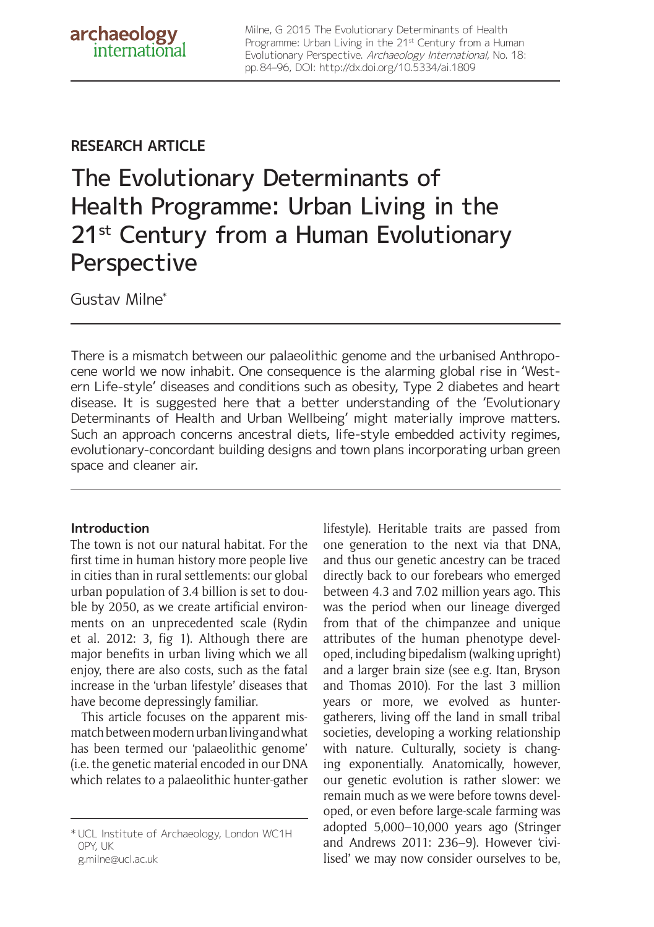Milne, G 2015 The Evolutionary Determinants of Health Programme: Urban Living in the 21<sup>st</sup> Century from a Human Evolutionary Perspective. Archaeology International, No. 18: pp. 84–96, DOI: http://dx.doi.org/10.5334/ai.1809

## **RESEARCH ARTICLE**

# The Evolutionary Determinants of Health Programme: Urban Living in the 21<sup>st</sup> Century from a Human Evolutionary **Perspective**

Gustav Milne\*

There is a mismatch between our palaeolithic genome and the urbanised Anthropocene world we now inhabit. One consequence is the alarming global rise in 'Western Life-style' diseases and conditions such as obesity, Type 2 diabetes and heart disease. It is suggested here that a better understanding of the 'Evolutionary Determinants of Health and Urban Wellbeing' might materially improve matters. Such an approach concerns ancestral diets, life-style embedded activity regimes, evolutionary-concordant building designs and town plans incorporating urban green space and cleaner air.

## **Introduction**

The town is not our natural habitat. For the first time in human history more people live in cities than in rural settlements: our global urban population of 3.4 billion is set to double by 2050, as we create artificial environments on an unprecedented scale (Rydin et al. 2012: 3, fig 1). Although there are major benefits in urban living which we all enjoy, there are also costs, such as the fatal increase in the 'urban lifestyle' diseases that have become depressingly familiar.

This article focuses on the apparent mismatch between modern urban living and what has been termed our 'palaeolithic genome' (i.e. the genetic material encoded in our DNA which relates to a palaeolithic hunter-gather lifestyle). Heritable traits are passed from one generation to the next via that DNA, and thus our genetic ancestry can be traced directly back to our forebears who emerged between 4.3 and 7.02 million years ago. This was the period when our lineage diverged from that of the chimpanzee and unique attributes of the human phenotype developed, including bipedalism (walking upright) and a larger brain size (see e.g. Itan, Bryson and Thomas 2010). For the last 3 million years or more, we evolved as huntergatherers, living off the land in small tribal societies, developing a working relationship with nature. Culturally, society is changing exponentially. Anatomically, however, our genetic evolution is rather slower: we remain much as we were before towns developed, or even before large-scale farming was adopted 5,000–10,000 years ago (Stringer and Andrews 2011: 236–9). However 'civilised' we may now consider ourselves to be,

<sup>\*</sup> UCL Institute of Archaeology, London WC1H 0PY, UK g.milne@ucl.ac.uk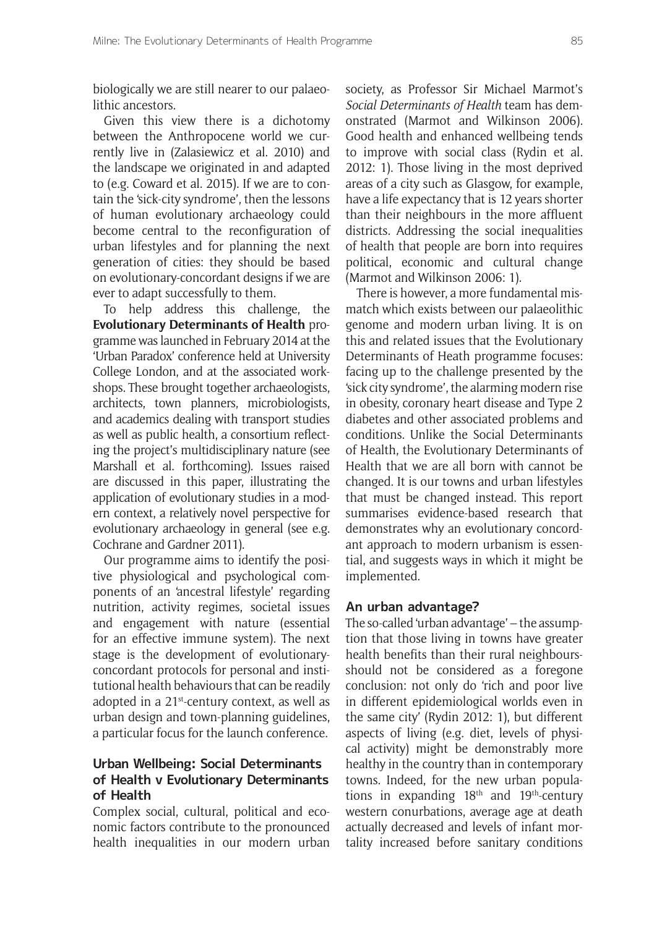biologically we are still nearer to our palaeolithic ancestors.

Given this view there is a dichotomy between the Anthropocene world we currently live in (Zalasiewicz et al. 2010) and the landscape we originated in and adapted to (e.g. Coward et al. 2015). If we are to contain the 'sick-city syndrome', then the lessons of human evolutionary archaeology could become central to the reconfiguration of urban lifestyles and for planning the next generation of cities: they should be based on evolutionary-concordant designs if we are ever to adapt successfully to them.

To help address this challenge, the **Evolutionary Determinants of Health** programme was launched in February 2014 at the 'Urban Paradox' conference held at University College London, and at the associated workshops. These brought together archaeologists, architects, town planners, microbiologists, and academics dealing with transport studies as well as public health, a consortium reflecting the project's multidisciplinary nature (see Marshall et al. forthcoming). Issues raised are discussed in this paper, illustrating the application of evolutionary studies in a modern context, a relatively novel perspective for evolutionary archaeology in general (see e.g. Cochrane and Gardner 2011).

Our programme aims to identify the positive physiological and psychological components of an 'ancestral lifestyle' regarding nutrition, activity regimes, societal issues and engagement with nature (essential for an effective immune system). The next stage is the development of evolutionaryconcordant protocols for personal and institutional health behaviours that can be readily adopted in a  $21^{st}$ -century context, as well as urban design and town-planning guidelines, a particular focus for the launch conference.

## **Urban Wellbeing: Social Determinants of Health v Evolutionary Determinants of Health**

Complex social, cultural, political and economic factors contribute to the pronounced health inequalities in our modern urban society, as Professor Sir Michael Marmot's *Social Determinants of Health* team has demonstrated (Marmot and Wilkinson 2006). Good health and enhanced wellbeing tends to improve with social class (Rydin et al. 2012: 1). Those living in the most deprived areas of a city such as Glasgow, for example, have a life expectancy that is 12 years shorter than their neighbours in the more affluent districts. Addressing the social inequalities of health that people are born into requires political, economic and cultural change (Marmot and Wilkinson 2006: 1).

There is however, a more fundamental mismatch which exists between our palaeolithic genome and modern urban living. It is on this and related issues that the Evolutionary Determinants of Heath programme focuses: facing up to the challenge presented by the 'sick city syndrome', the alarming modern rise in obesity, coronary heart disease and Type 2 diabetes and other associated problems and conditions. Unlike the Social Determinants of Health, the Evolutionary Determinants of Health that we are all born with cannot be changed. It is our towns and urban lifestyles that must be changed instead. This report summarises evidence-based research that demonstrates why an evolutionary concordant approach to modern urbanism is essential, and suggests ways in which it might be implemented.

## **An urban advantage?**

The so-called 'urban advantage' – the assumption that those living in towns have greater health benefits than their rural neighboursshould not be considered as a foregone conclusion: not only do 'rich and poor live in different epidemiological worlds even in the same city' (Rydin 2012: 1), but different aspects of living (e.g. diet, levels of physical activity) might be demonstrably more healthy in the country than in contemporary towns. Indeed, for the new urban populations in expanding 18th and 19th-century western conurbations, average age at death actually decreased and levels of infant mortality increased before sanitary conditions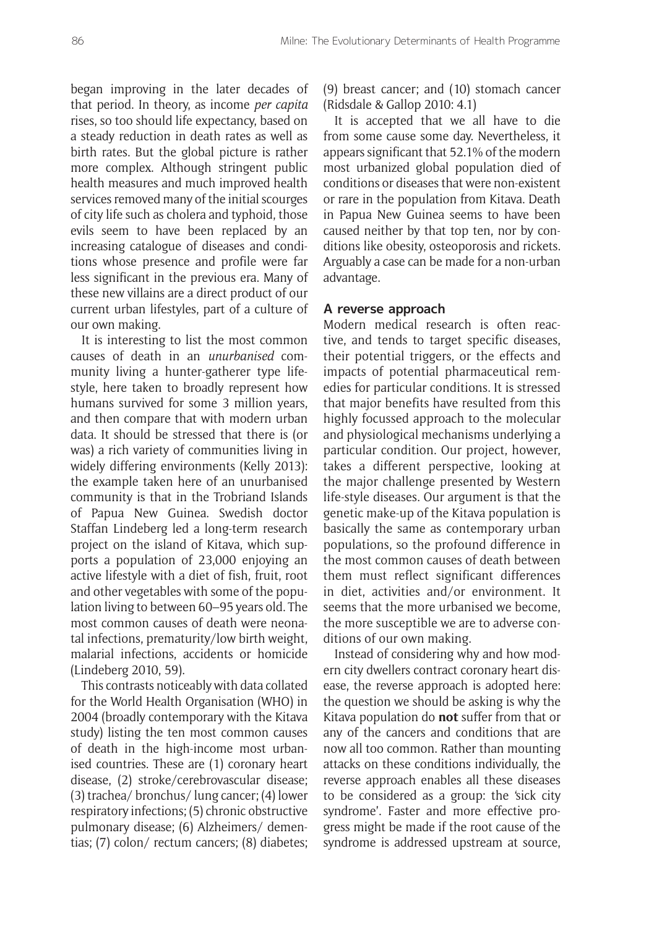began improving in the later decades of that period. In theory, as income *per capita* rises, so too should life expectancy, based on a steady reduction in death rates as well as birth rates. But the global picture is rather more complex. Although stringent public health measures and much improved health services removed many of the initial scourges of city life such as cholera and typhoid, those evils seem to have been replaced by an increasing catalogue of diseases and conditions whose presence and profile were far less significant in the previous era. Many of these new villains are a direct product of our current urban lifestyles, part of a culture of our own making.

It is interesting to list the most common causes of death in an *unurbanised* community living a hunter-gatherer type lifestyle, here taken to broadly represent how humans survived for some 3 million years, and then compare that with modern urban data. It should be stressed that there is (or was) a rich variety of communities living in widely differing environments (Kelly 2013): the example taken here of an unurbanised community is that in the Trobriand Islands of Papua New Guinea. Swedish doctor Staffan Lindeberg led a long-term research project on the island of Kitava, which supports a population of 23,000 enjoying an active lifestyle with a diet of fish, fruit, root and other vegetables with some of the population living to between 60–95 years old. The most common causes of death were neonatal infections, prematurity/low birth weight, malarial infections, accidents or homicide (Lindeberg 2010, 59).

This contrasts noticeably with data collated for the World Health Organisation (WHO) in 2004 (broadly contemporary with the Kitava study) listing the ten most common causes of death in the high-income most urbanised countries. These are (1) coronary heart disease, (2) stroke/cerebrovascular disease; (3) trachea/ bronchus/ lung cancer; (4) lower respiratory infections; (5) chronic obstructive pulmonary disease; (6) Alzheimers/ dementias; (7) colon/ rectum cancers; (8) diabetes; (9) breast cancer; and (10) stomach cancer (Ridsdale & Gallop 2010: 4.1)

It is accepted that we all have to die from some cause some day. Nevertheless, it appears significant that 52.1% of the modern most urbanized global population died of conditions or diseases that were non-existent or rare in the population from Kitava. Death in Papua New Guinea seems to have been caused neither by that top ten, nor by conditions like obesity, osteoporosis and rickets. Arguably a case can be made for a non-urban advantage.

#### **A reverse approach**

Modern medical research is often reactive, and tends to target specific diseases, their potential triggers, or the effects and impacts of potential pharmaceutical remedies for particular conditions. It is stressed that major benefits have resulted from this highly focussed approach to the molecular and physiological mechanisms underlying a particular condition. Our project, however, takes a different perspective, looking at the major challenge presented by Western life-style diseases. Our argument is that the genetic make-up of the Kitava population is basically the same as contemporary urban populations, so the profound difference in the most common causes of death between them must reflect significant differences in diet, activities and/or environment. It seems that the more urbanised we become, the more susceptible we are to adverse conditions of our own making.

Instead of considering why and how modern city dwellers contract coronary heart disease, the reverse approach is adopted here: the question we should be asking is why the Kitava population do **not** suffer from that or any of the cancers and conditions that are now all too common. Rather than mounting attacks on these conditions individually, the reverse approach enables all these diseases to be considered as a group: the 'sick city syndrome'. Faster and more effective progress might be made if the root cause of the syndrome is addressed upstream at source,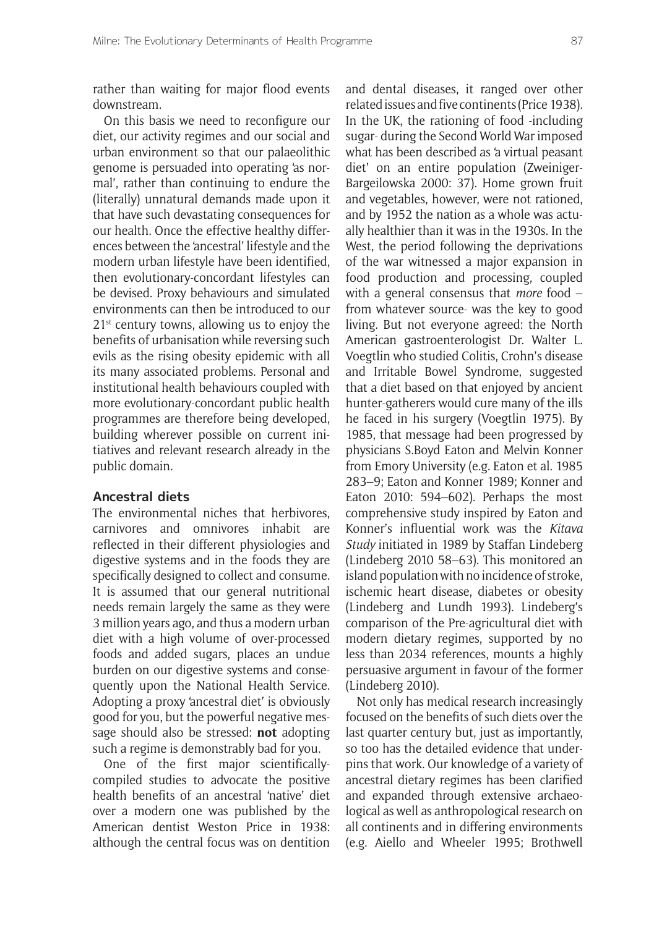rather than waiting for major flood events downstream.

On this basis we need to reconfigure our diet, our activity regimes and our social and urban environment so that our palaeolithic genome is persuaded into operating 'as normal', rather than continuing to endure the (literally) unnatural demands made upon it that have such devastating consequences for our health. Once the effective healthy differences between the 'ancestral' lifestyle and the modern urban lifestyle have been identified, then evolutionary-concordant lifestyles can be devised. Proxy behaviours and simulated environments can then be introduced to our 21<sup>st</sup> century towns, allowing us to enjoy the benefits of urbanisation while reversing such evils as the rising obesity epidemic with all its many associated problems. Personal and institutional health behaviours coupled with more evolutionary-concordant public health programmes are therefore being developed, building wherever possible on current initiatives and relevant research already in the public domain.

## **Ancestral diets**

The environmental niches that herbivores, carnivores and omnivores inhabit are reflected in their different physiologies and digestive systems and in the foods they are specifically designed to collect and consume. It is assumed that our general nutritional needs remain largely the same as they were 3 million years ago, and thus a modern urban diet with a high volume of over-processed foods and added sugars, places an undue burden on our digestive systems and consequently upon the National Health Service. Adopting a proxy 'ancestral diet' is obviously good for you, but the powerful negative message should also be stressed: **not** adopting such a regime is demonstrably bad for you.

One of the first major scientificallycompiled studies to advocate the positive health benefits of an ancestral 'native' diet over a modern one was published by the American dentist Weston Price in 1938: although the central focus was on dentition and dental diseases, it ranged over other related issues and five continents (Price 1938). In the UK, the rationing of food -including sugar- during the Second World War imposed what has been described as 'a virtual peasant diet' on an entire population (Zweiniger-Bargeilowska 2000: 37). Home grown fruit and vegetables, however, were not rationed, and by 1952 the nation as a whole was actually healthier than it was in the 1930s. In the West, the period following the deprivations of the war witnessed a major expansion in food production and processing, coupled with a general consensus that *more* food – from whatever source- was the key to good living. But not everyone agreed: the North American gastroenterologist Dr. Walter L. Voegtlin who studied Colitis, Crohn's disease and Irritable Bowel Syndrome, suggested that a diet based on that enjoyed by ancient hunter-gatherers would cure many of the ills he faced in his surgery (Voegtlin 1975). By 1985, that message had been progressed by physicians S.Boyd Eaton and Melvin Konner from Emory University (e.g. Eaton et al. 1985 283–9; Eaton and Konner 1989; Konner and Eaton 2010: 594–602). Perhaps the most comprehensive study inspired by Eaton and Konner's influential work was the *Kitava Study* initiated in 1989 by Staffan Lindeberg (Lindeberg 2010 58–63). This monitored an island population with no incidence of stroke, ischemic heart disease, diabetes or obesity (Lindeberg and Lundh 1993). Lindeberg's comparison of the Pre-agricultural diet with modern dietary regimes, supported by no less than 2034 references, mounts a highly persuasive argument in favour of the former (Lindeberg 2010).

Not only has medical research increasingly focused on the benefits of such diets over the last quarter century but, just as importantly, so too has the detailed evidence that underpins that work. Our knowledge of a variety of ancestral dietary regimes has been clarified and expanded through extensive archaeological as well as anthropological research on all continents and in differing environments (e.g. Aiello and Wheeler 1995; Brothwell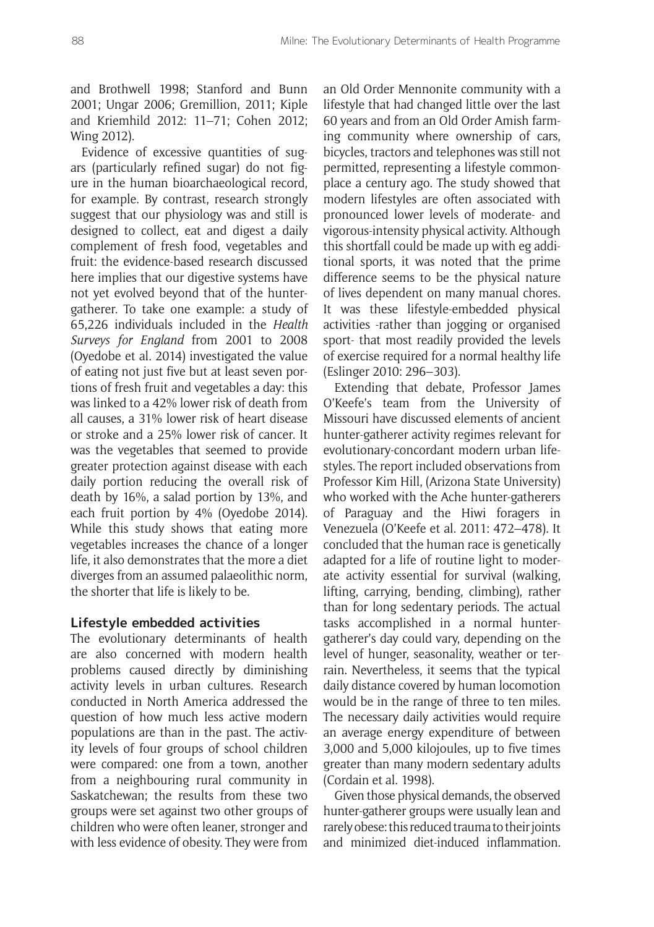and Brothwell 1998; Stanford and Bunn 2001; Ungar 2006; Gremillion, 2011; Kiple and Kriemhild 2012: 11–71; Cohen 2012; Wing 2012).

Evidence of excessive quantities of sugars (particularly refined sugar) do not figure in the human bioarchaeological record, for example. By contrast, research strongly suggest that our physiology was and still is designed to collect, eat and digest a daily complement of fresh food, vegetables and fruit: the evidence-based research discussed here implies that our digestive systems have not yet evolved beyond that of the huntergatherer. To take one example: a study of 65,226 individuals included in the *Health Surveys for England* from 2001 to 2008 (Oyedobe et al. 2014) investigated the value of eating not just five but at least seven portions of fresh fruit and vegetables a day: this was linked to a 42% lower risk of death from all causes, a 31% lower risk of heart disease or stroke and a 25% lower risk of cancer. It was the vegetables that seemed to provide greater protection against disease with each daily portion reducing the overall risk of death by 16%, a salad portion by 13%, and each fruit portion by 4% (Oyedobe 2014). While this study shows that eating more vegetables increases the chance of a longer life, it also demonstrates that the more a diet diverges from an assumed palaeolithic norm, the shorter that life is likely to be.

## **Lifestyle embedded activities**

The evolutionary determinants of health are also concerned with modern health problems caused directly by diminishing activity levels in urban cultures. Research conducted in North America addressed the question of how much less active modern populations are than in the past. The activity levels of four groups of school children were compared: one from a town, another from a neighbouring rural community in Saskatchewan; the results from these two groups were set against two other groups of children who were often leaner, stronger and with less evidence of obesity. They were from an Old Order Mennonite community with a lifestyle that had changed little over the last 60 years and from an Old Order Amish farming community where ownership of cars, bicycles, tractors and telephones was still not permitted, representing a lifestyle commonplace a century ago. The study showed that modern lifestyles are often associated with pronounced lower levels of moderate- and vigorous-intensity physical activity. Although this shortfall could be made up with eg additional sports, it was noted that the prime difference seems to be the physical nature of lives dependent on many manual chores. It was these lifestyle-embedded physical activities -rather than jogging or organised sport- that most readily provided the levels of exercise required for a normal healthy life (Eslinger 2010: 296–303).

Extending that debate, Professor James O'Keefe's team from the University of Missouri have discussed elements of ancient hunter-gatherer activity regimes relevant for evolutionary-concordant modern urban lifestyles. The report included observations from Professor Kim Hill, (Arizona State University) who worked with the Ache hunter-gatherers of Paraguay and the Hiwi foragers in Venezuela (O'Keefe et al. 2011: 472–478). It concluded that the human race is genetically adapted for a life of routine light to moderate activity essential for survival (walking, lifting, carrying, bending, climbing), rather than for long sedentary periods. The actual tasks accomplished in a normal huntergatherer's day could vary, depending on the level of hunger, seasonality, weather or terrain. Nevertheless, it seems that the typical daily distance covered by human locomotion would be in the range of three to ten miles. The necessary daily activities would require an average energy expenditure of between 3,000 and 5,000 kilojoules, up to five times greater than many modern sedentary adults (Cordain et al. 1998).

Given those physical demands, the observed hunter-gatherer groups were usually lean and rarely obese: this reduced trauma to their joints and minimized diet-induced inflammation.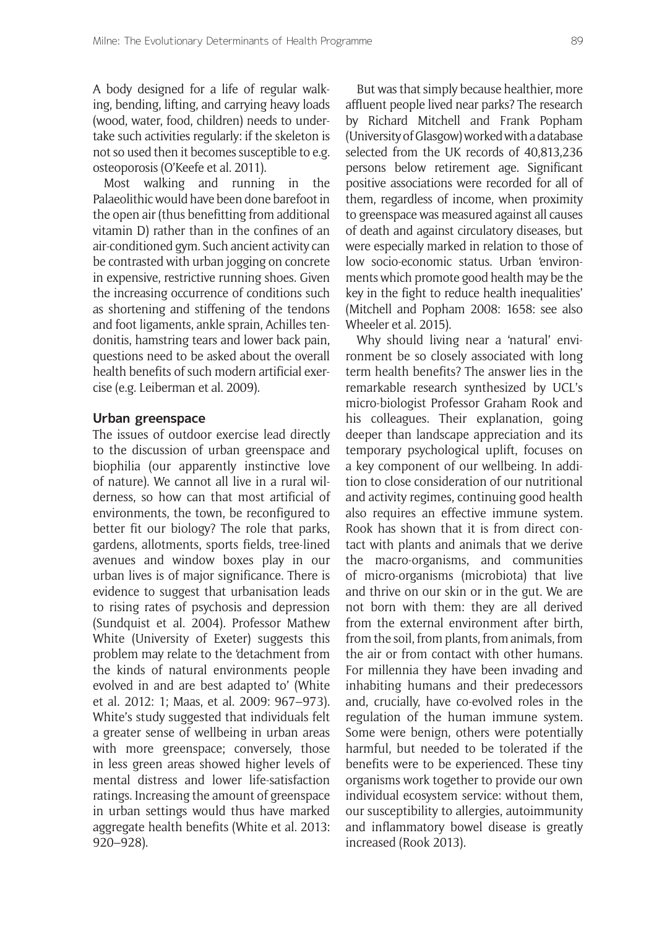A body designed for a life of regular walking, bending, lifting, and carrying heavy loads (wood, water, food, children) needs to undertake such activities regularly: if the skeleton is not so used then it becomes susceptible to e.g. osteoporosis (O'Keefe et al. 2011).

Most walking and running in the Palaeolithic would have been done barefoot in the open air (thus benefitting from additional vitamin D) rather than in the confines of an air-conditioned gym. Such ancient activity can be contrasted with urban jogging on concrete in expensive, restrictive running shoes. Given the increasing occurrence of conditions such as shortening and stiffening of the tendons and foot ligaments, ankle sprain, Achilles tendonitis, hamstring tears and lower back pain, questions need to be asked about the overall health benefits of such modern artificial exercise (e.g. Leiberman et al. 2009).

## **Urban greenspace**

The issues of outdoor exercise lead directly to the discussion of urban greenspace and biophilia (our apparently instinctive love of nature). We cannot all live in a rural wilderness, so how can that most artificial of environments, the town, be reconfigured to better fit our biology? The role that parks, gardens, allotments, sports fields, tree-lined avenues and window boxes play in our urban lives is of major significance. There is evidence to suggest that urbanisation leads to rising rates of psychosis and depression (Sundquist et al. 2004). Professor Mathew White (University of Exeter) suggests this problem may relate to the 'detachment from the kinds of natural environments people evolved in and are best adapted to' (White et al. 2012: 1; Maas, et al. 2009: 967–973). White's study suggested that individuals felt a greater sense of wellbeing in urban areas with more greenspace; conversely, those in less green areas showed higher levels of mental distress and lower life-satisfaction ratings. Increasing the amount of greenspace in urban settings would thus have marked aggregate health benefits (White et al. 2013: 920–928).

But was that simply because healthier, more affluent people lived near parks? The research by Richard Mitchell and Frank Popham (University of Glasgow) worked with a database selected from the UK records of 40,813,236 persons below retirement age. Significant positive associations were recorded for all of them, regardless of income, when proximity to greenspace was measured against all causes of death and against circulatory diseases, but were especially marked in relation to those of low socio-economic status. Urban 'environments which promote good health may be the key in the fight to reduce health inequalities' (Mitchell and Popham 2008: 1658: see also Wheeler et al. 2015).

Why should living near a 'natural' environment be so closely associated with long term health benefits? The answer lies in the remarkable research synthesized by UCL's micro-biologist Professor Graham Rook and his colleagues. Their explanation, going deeper than landscape appreciation and its temporary psychological uplift, focuses on a key component of our wellbeing. In addition to close consideration of our nutritional and activity regimes, continuing good health also requires an effective immune system. Rook has shown that it is from direct contact with plants and animals that we derive the macro-organisms, and communities of micro-organisms (microbiota) that live and thrive on our skin or in the gut. We are not born with them: they are all derived from the external environment after birth, from the soil, from plants, from animals, from the air or from contact with other humans. For millennia they have been invading and inhabiting humans and their predecessors and, crucially, have co-evolved roles in the regulation of the human immune system. Some were benign, others were potentially harmful, but needed to be tolerated if the benefits were to be experienced. These tiny organisms work together to provide our own individual ecosystem service: without them, our susceptibility to allergies, autoimmunity and inflammatory bowel disease is greatly increased (Rook 2013).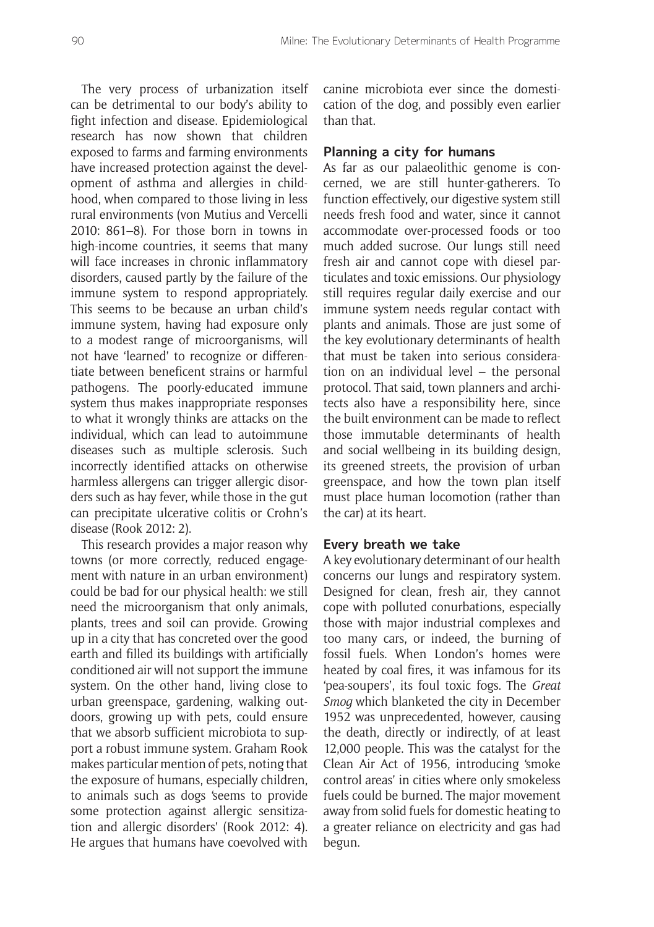The very process of urbanization itself can be detrimental to our body's ability to fight infection and disease. Epidemiological research has now shown that children exposed to farms and farming environments have increased protection against the development of asthma and allergies in childhood, when compared to those living in less rural environments (von Mutius and Vercelli 2010: 861–8). For those born in towns in high-income countries, it seems that many will face increases in chronic inflammatory disorders, caused partly by the failure of the immune system to respond appropriately. This seems to be because an urban child's immune system, having had exposure only to a modest range of microorganisms, will not have 'learned' to recognize or differentiate between beneficent strains or harmful pathogens. The poorly-educated immune system thus makes inappropriate responses to what it wrongly thinks are attacks on the individual, which can lead to autoimmune diseases such as multiple sclerosis. Such incorrectly identified attacks on otherwise harmless allergens can trigger allergic disorders such as hay fever, while those in the gut can precipitate ulcerative colitis or Crohn's disease (Rook 2012: 2).

This research provides a major reason why towns (or more correctly, reduced engagement with nature in an urban environment) could be bad for our physical health: we still need the microorganism that only animals, plants, trees and soil can provide. Growing up in a city that has concreted over the good earth and filled its buildings with artificially conditioned air will not support the immune system. On the other hand, living close to urban greenspace, gardening, walking outdoors, growing up with pets, could ensure that we absorb sufficient microbiota to support a robust immune system. Graham Rook makes particular mention of pets, noting that the exposure of humans, especially children, to animals such as dogs 'seems to provide some protection against allergic sensitization and allergic disorders' (Rook 2012: 4). He argues that humans have coevolved with canine microbiota ever since the domestication of the dog, and possibly even earlier than that.

## **Planning a city for humans**

As far as our palaeolithic genome is concerned, we are still hunter-gatherers. To function effectively, our digestive system still needs fresh food and water, since it cannot accommodate over-processed foods or too much added sucrose. Our lungs still need fresh air and cannot cope with diesel particulates and toxic emissions. Our physiology still requires regular daily exercise and our immune system needs regular contact with plants and animals. Those are just some of the key evolutionary determinants of health that must be taken into serious consideration on an individual level – the personal protocol. That said, town planners and architects also have a responsibility here, since the built environment can be made to reflect those immutable determinants of health and social wellbeing in its building design, its greened streets, the provision of urban greenspace, and how the town plan itself must place human locomotion (rather than the car) at its heart.

#### **Every breath we take**

A key evolutionary determinant of our health concerns our lungs and respiratory system. Designed for clean, fresh air, they cannot cope with polluted conurbations, especially those with major industrial complexes and too many cars, or indeed, the burning of fossil fuels. When London's homes were heated by coal fires, it was infamous for its 'pea-soupers', its foul toxic fogs. The *Great Smog* which blanketed the city in December 1952 was unprecedented, however, causing the death, directly or indirectly, of at least 12,000 people. This was the catalyst for the Clean Air Act of 1956, introducing 'smoke control areas' in cities where only smokeless fuels could be burned. The major movement away from solid fuels for domestic heating to a greater reliance on electricity and gas had begun.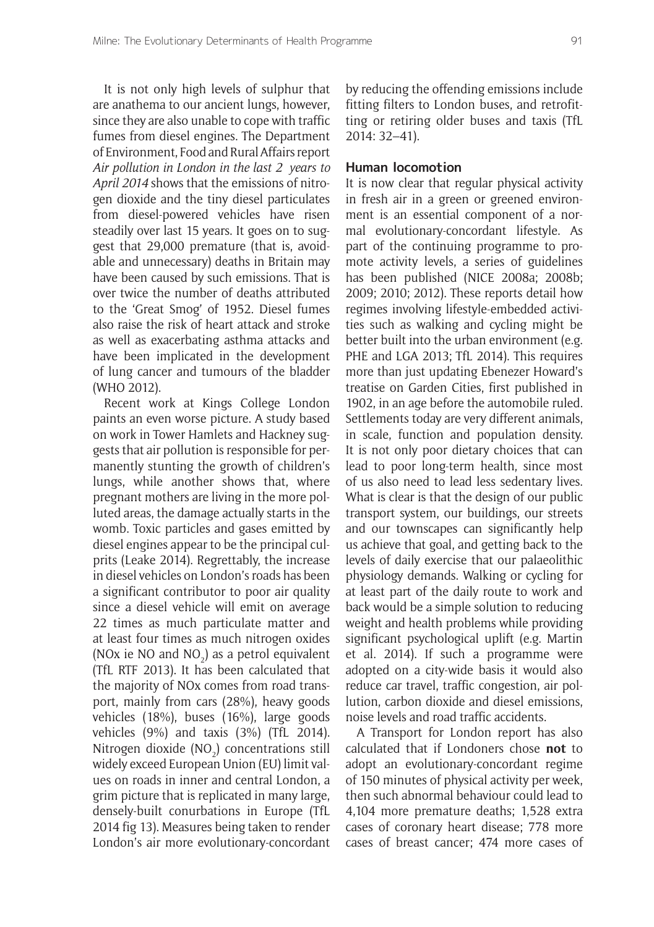It is not only high levels of sulphur that are anathema to our ancient lungs, however, since they are also unable to cope with traffic fumes from diesel engines. The Department of Environment, Food and Rural Affairs report *Air pollution in London in the last 2 years to April 2014* shows that the emissions of nitrogen dioxide and the tiny diesel particulates from diesel-powered vehicles have risen steadily over last 15 years. It goes on to suggest that 29,000 premature (that is, avoidable and unnecessary) deaths in Britain may have been caused by such emissions. That is over twice the number of deaths attributed to the 'Great Smog' of 1952. Diesel fumes also raise the risk of heart attack and stroke as well as exacerbating asthma attacks and have been implicated in the development of lung cancer and tumours of the bladder (WHO 2012).

Recent work at Kings College London paints an even worse picture. A study based on work in Tower Hamlets and Hackney suggests that air pollution is responsible for permanently stunting the growth of children's lungs, while another shows that, where pregnant mothers are living in the more polluted areas, the damage actually starts in the womb. Toxic particles and gases emitted by diesel engines appear to be the principal culprits (Leake 2014). Regrettably, the increase in diesel vehicles on London's roads has been a significant contributor to poor air quality since a diesel vehicle will emit on average 22 times as much particulate matter and at least four times as much nitrogen oxides (NOx ie NO and  $NO<sub>2</sub>$ ) as a petrol equivalent (TfL RTF 2013). It has been calculated that the majority of NOx comes from road transport, mainly from cars (28%), heavy goods vehicles (18%), buses (16%), large goods vehicles (9%) and taxis (3%) (TfL 2014). Nitrogen dioxide (NO<sub>2</sub>) concentrations still widely exceed European Union (EU) limit values on roads in inner and central London, a grim picture that is replicated in many large, densely-built conurbations in Europe (TfL 2014 fig 13). Measures being taken to render London's air more evolutionary-concordant

by reducing the offending emissions include fitting filters to London buses, and retrofitting or retiring older buses and taxis (TfL 2014: 32–41).

#### **Human locomotion**

It is now clear that regular physical activity in fresh air in a green or greened environment is an essential component of a normal evolutionary-concordant lifestyle. As part of the continuing programme to promote activity levels, a series of guidelines has been published (NICE 2008a; 2008b; 2009; 2010; 2012). These reports detail how regimes involving lifestyle-embedded activities such as walking and cycling might be better built into the urban environment (e.g. PHE and LGA 2013; TfL 2014). This requires more than just updating Ebenezer Howard's treatise on Garden Cities, first published in 1902, in an age before the automobile ruled. Settlements today are very different animals, in scale, function and population density. It is not only poor dietary choices that can lead to poor long-term health, since most of us also need to lead less sedentary lives. What is clear is that the design of our public transport system, our buildings, our streets and our townscapes can significantly help us achieve that goal, and getting back to the levels of daily exercise that our palaeolithic physiology demands. Walking or cycling for at least part of the daily route to work and back would be a simple solution to reducing weight and health problems while providing significant psychological uplift (e.g. Martin et al. 2014). If such a programme were adopted on a city-wide basis it would also reduce car travel, traffic congestion, air pollution, carbon dioxide and diesel emissions, noise levels and road traffic accidents.

A Transport for London report has also calculated that if Londoners chose **not** to adopt an evolutionary-concordant regime of 150 minutes of physical activity per week, then such abnormal behaviour could lead to 4,104 more premature deaths; 1,528 extra cases of coronary heart disease; 778 more cases of breast cancer; 474 more cases of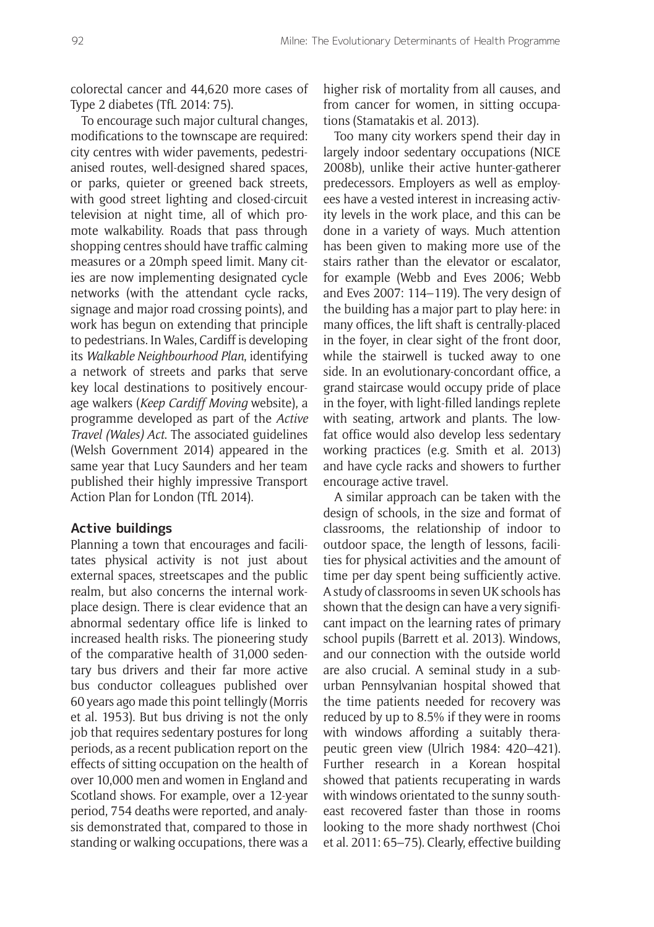colorectal cancer and 44,620 more cases of Type 2 diabetes (TfL 2014: 75).

To encourage such major cultural changes, modifications to the townscape are required: city centres with wider pavements, pedestrianised routes, well-designed shared spaces, or parks, quieter or greened back streets, with good street lighting and closed-circuit television at night time, all of which promote walkability. Roads that pass through shopping centres should have traffic calming measures or a 20mph speed limit. Many cities are now implementing designated cycle networks (with the attendant cycle racks, signage and major road crossing points), and work has begun on extending that principle to pedestrians. In Wales, Cardiff is developing its *Walkable Neighbourhood Plan*, identifying a network of streets and parks that serve key local destinations to positively encourage walkers (*Keep Cardiff Moving* website), a programme developed as part of the *Active Travel (Wales) Act*. The associated guidelines (Welsh Government 2014) appeared in the same year that Lucy Saunders and her team published their highly impressive Transport Action Plan for London (TfL 2014).

## **Active buildings**

Planning a town that encourages and facilitates physical activity is not just about external spaces, streetscapes and the public realm, but also concerns the internal workplace design. There is clear evidence that an abnormal sedentary office life is linked to increased health risks. The pioneering study of the comparative health of 31,000 sedentary bus drivers and their far more active bus conductor colleagues published over 60 years ago made this point tellingly (Morris et al. 1953). But bus driving is not the only job that requires sedentary postures for long periods, as a recent publication report on the effects of sitting occupation on the health of over 10,000 men and women in England and Scotland shows. For example, over a 12-year period, 754 deaths were reported, and analysis demonstrated that, compared to those in standing or walking occupations, there was a higher risk of mortality from all causes, and from cancer for women, in sitting occupations (Stamatakis et al. 2013).

Too many city workers spend their day in largely indoor sedentary occupations (NICE 2008b), unlike their active hunter-gatherer predecessors. Employers as well as employees have a vested interest in increasing activity levels in the work place, and this can be done in a variety of ways. Much attention has been given to making more use of the stairs rather than the elevator or escalator, for example (Webb and Eves 2006; Webb and Eves 2007: 114–119). The very design of the building has a major part to play here: in many offices, the lift shaft is centrally-placed in the foyer, in clear sight of the front door, while the stairwell is tucked away to one side. In an evolutionary-concordant office, a grand staircase would occupy pride of place in the foyer, with light-filled landings replete with seating, artwork and plants. The lowfat office would also develop less sedentary working practices (e.g. Smith et al. 2013) and have cycle racks and showers to further encourage active travel.

A similar approach can be taken with the design of schools, in the size and format of classrooms, the relationship of indoor to outdoor space, the length of lessons, facilities for physical activities and the amount of time per day spent being sufficiently active. A study of classrooms in seven UK schools has shown that the design can have a very significant impact on the learning rates of primary school pupils (Barrett et al. 2013). Windows, and our connection with the outside world are also crucial. A seminal study in a suburban Pennsylvanian hospital showed that the time patients needed for recovery was reduced by up to 8.5% if they were in rooms with windows affording a suitably therapeutic green view (Ulrich 1984: 420–421). Further research in a Korean hospital showed that patients recuperating in wards with windows orientated to the sunny southeast recovered faster than those in rooms looking to the more shady northwest (Choi et al. 2011: 65–75). Clearly, effective building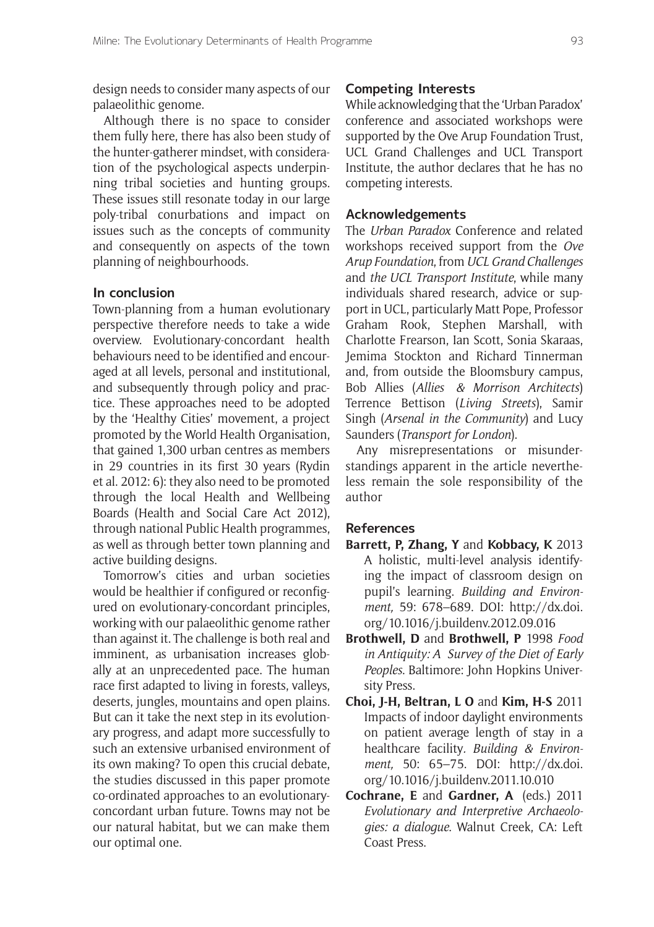design needs to consider many aspects of our palaeolithic genome.

Although there is no space to consider them fully here, there has also been study of the hunter-gatherer mindset, with consideration of the psychological aspects underpinning tribal societies and hunting groups. These issues still resonate today in our large poly-tribal conurbations and impact on issues such as the concepts of community and consequently on aspects of the town planning of neighbourhoods.

## **In conclusion**

Town-planning from a human evolutionary perspective therefore needs to take a wide overview. Evolutionary-concordant health behaviours need to be identified and encouraged at all levels, personal and institutional, and subsequently through policy and practice. These approaches need to be adopted by the 'Healthy Cities' movement, a project promoted by the World Health Organisation, that gained 1,300 urban centres as members in 29 countries in its first 30 years (Rydin et al. 2012: 6): they also need to be promoted through the local Health and Wellbeing Boards (Health and Social Care Act 2012), through national Public Health programmes, as well as through better town planning and active building designs.

Tomorrow's cities and urban societies would be healthier if configured or reconfigured on evolutionary-concordant principles, working with our palaeolithic genome rather than against it. The challenge is both real and imminent, as urbanisation increases globally at an unprecedented pace. The human race first adapted to living in forests, valleys, deserts, jungles, mountains and open plains. But can it take the next step in its evolutionary progress, and adapt more successfully to such an extensive urbanised environment of its own making? To open this crucial debate, the studies discussed in this paper promote co-ordinated approaches to an evolutionaryconcordant urban future. Towns may not be our natural habitat, but we can make them our optimal one.

#### **Competing Interests**

While acknowledging that the 'Urban Paradox' conference and associated workshops were supported by the Ove Arup Foundation Trust, UCL Grand Challenges and UCL Transport Institute, the author declares that he has no competing interests.

#### **Acknowledgements**

The *Urban Paradox* Conference and related workshops received support from the *Ove Arup Foundation*, from *UCL Grand Challenges* and *the UCL Transport Institute*, while many individuals shared research, advice or support in UCL, particularly Matt Pope, Professor Graham Rook, Stephen Marshall, with Charlotte Frearson, Ian Scott, Sonia Skaraas, Jemima Stockton and Richard Tinnerman and, from outside the Bloomsbury campus, Bob Allies (*Allies & Morrison Architects*) Terrence Bettison (*Living Streets*), Samir Singh (*Arsenal in the Community*) and Lucy Saunders (*Transport for London*).

Any misrepresentations or misunderstandings apparent in the article nevertheless remain the sole responsibility of the author

## **References**

- **Barrett, P, Zhang, Y** and **Kobbacy, K** 2013 A holistic, multi-level analysis identifying the impact of classroom design on pupil's learning. *Building and Environment,* 59: 678–689. DOI: http://dx.doi. org/10.1016/j.buildenv.2012.09.016
- **Brothwell, D** and **Brothwell, P** 1998 *Food in Antiquity: A Survey of the Diet of Early Peoples*. Baltimore: John Hopkins University Press.
- **Choi, J-H, Beltran, L O** and **Kim, H-S** 2011 Impacts of indoor daylight environments on patient average length of stay in a healthcare facility*. Building & Environment,* 50: 65–75. DOI: http://dx.doi. org/10.1016/j.buildenv.2011.10.010
- **Cochrane, E** and **Gardner, A**  (eds.) 2011 *Evolutionary and Interpretive Archaeologies: a dialogue*. Walnut Creek, CA: Left Coast Press.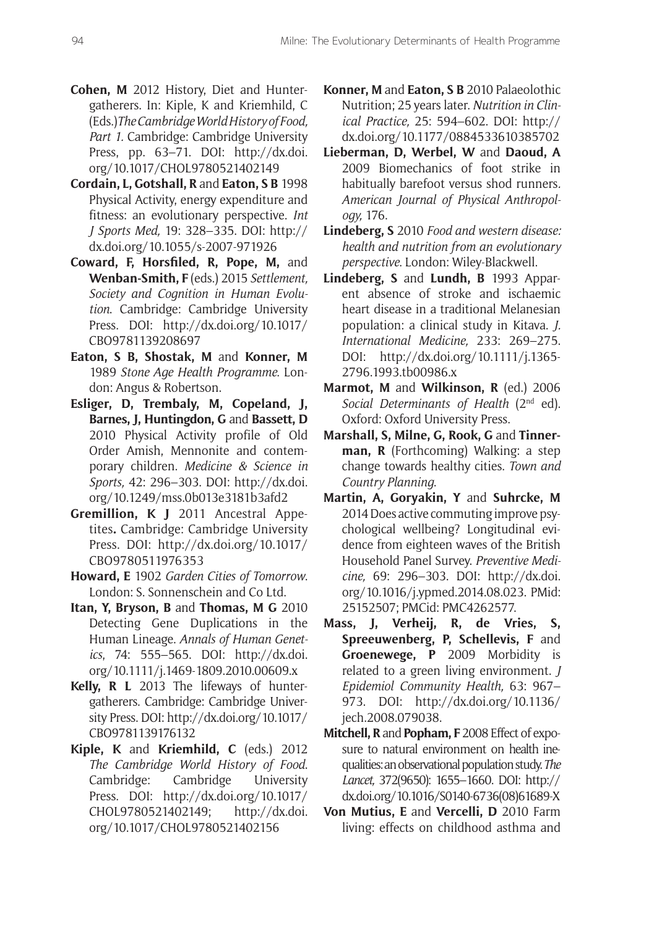- **Cohen, M** 2012 History, Diet and Huntergatherers. In: Kiple, K and Kriemhild, C (Eds.)*The Cambridge World History of Food, Part 1.* Cambridge: Cambridge University Press, pp. 63–71. DOI: http://dx.doi. org/10.1017/CHOL9780521402149
- **Cordain, L, Gotshall, R** and **Eaton, S B** 1998 Physical Activity, energy expenditure and fitness: an evolutionary perspective. *Int J Sports Med,* 19: 328–335. DOI: http:// dx.doi.org/10.1055/s-2007-971926
- **Coward, F, Horsfiled, R, Pope, M,** and **Wenban-Smith, F** (eds.) 2015 *Settlement, Society and Cognition in Human Evolution*. Cambridge: Cambridge University Press. DOI: http://dx.doi.org/10.1017/ CBO9781139208697
- **Eaton, S B, Shostak, M** and **Konner, M** 1989 *Stone Age Health Programme*. London: Angus & Robertson.
- **Esliger, D, Trembaly, M, Copeland, J, Barnes, J, Huntingdon, G and Bassett, D** 2010 Physical Activity profile of Old Order Amish, Mennonite and contemporary children. *Medicine & Science in Sports,* 42: 296–303. DOI: http://dx.doi. org/10.1249/mss.0b013e3181b3afd2
- **Gremillion, K J** 2011 Ancestral Appetites**.** Cambridge: Cambridge University Press. DOI: http://dx.doi.org/10.1017/ CBO9780511976353
- **Howard, E** 1902 *Garden Cities of Tomorrow*. London: S. Sonnenschein and Co Ltd.
- **Itan, Y, Bryson, B** and **Thomas, M G** 2010 Detecting Gene Duplications in the Human Lineage. *Annals of Human Genetics*, 74: 555–565. DOI: http://dx.doi. org/10.1111/j.1469-1809.2010.00609.x
- **Kelly, R L** 2013 The lifeways of huntergatherers. Cambridge: Cambridge University Press. DOI: http://dx.doi.org/10.1017/ CBO9781139176132
- **Kiple, K** and **Kriemhild, C** (eds.) 2012 *The Cambridge World History of Food*. Cambridge: Cambridge University Press. DOI: http://dx.doi.org/10.1017/ CHOL9780521402149; http://dx.doi. org/10.1017/CHOL9780521402156
- **Konner, M** and **Eaton, S B** 2010 Palaeolothic Nutrition; 25 years later. *Nutrition in Clinical Practice,* 25: 594–602. DOI: http:// dx.doi.org/10.1177/0884533610385702
- **Lieberman, D, Werbel, W** and **Daoud, A**  2009 Biomechanics of foot strike in habitually barefoot versus shod runners*. American Journal of Physical Anthropology,* 176.
- **Lindeberg, S** 2010 *Food and western disease: health and nutrition from an evolutionary perspective*. London: Wiley-Blackwell.
- **Lindeberg, S** and **Lundh, B** 1993 Apparent absence of stroke and ischaemic heart disease in a traditional Melanesian population: a clinical study in Kitava. *J. International Medicine,* 233: 269–275. DOI: http://dx.doi.org/10.1111/j.1365- 2796.1993.tb00986.x
- **Marmot, M** and **Wilkinson, R** (ed.) 2006 *Social Determinants of Health* (2nd ed). Oxford: Oxford University Press.
- Marshall, S, Milne, G, Rook, G and Tinner**man, R** (Forthcoming) Walking: a step change towards healthy cities. *Town and Country Planning*.
- **Martin, A, Goryakin, Y** and **Suhrcke, M** 2014 Does active commuting improve psychological wellbeing? Longitudinal evidence from eighteen waves of the British Household Panel Survey. *Preventive Medicine,* 69: 296–303. DOI: http://dx.doi. org/10.1016/j.ypmed.2014.08.023. PMid: 25152507; PMCid: PMC4262577.
- **Mass, J, Verheij, R, de Vries, S, Spreeuwenberg, P, Schellevis, F** and **Groenewege, P** 2009 Morbidity is related to a green living environment. *J Epidemiol Community Health,* 63: 967– 973. DOI: http://dx.doi.org/10.1136/ jech.2008.079038.
- **Mitchell, R** and **Popham, F** 2008 Effect of exposure to natural environment on health inequalities: an observational population study. *The Lancet,* 372(9650): 1655–1660. DOI: http:// dx.doi.org/10.1016/S0140-6736(08)61689-X
- **Von Mutius, E** and **Vercelli, D** 2010 Farm living: effects on childhood asthma and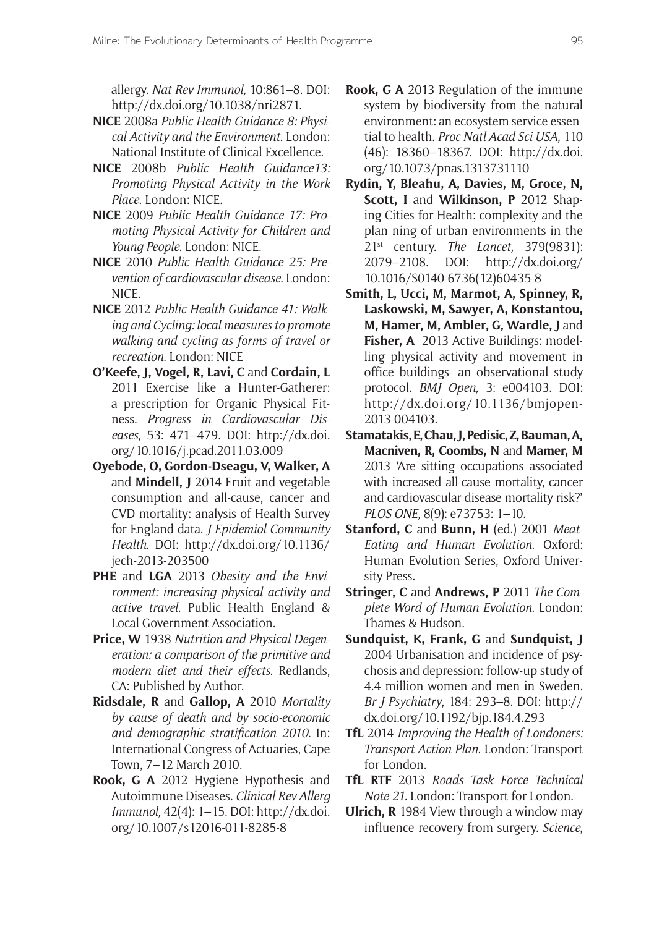allergy. *Nat Rev Immunol,* 10:861–8. DOI: http://dx.doi.org/10.1038/nri2871.

- **NICE** 2008a *Public Health Guidance 8: Physical Activity and the Environment*. London: National Institute of Clinical Excellence.
- **NICE** 2008b *Public Health Guidance13: Promoting Physical Activity in the Work Place*. London: NICE.
- **NICE** 2009 *Public Health Guidance 17: Promoting Physical Activity for Children and Young People*. London: NICE.
- **NICE** 2010 *Public Health Guidance 25: Prevention of cardiovascular disease*. London: NICE.
- **NICE** 2012 *Public Health Guidance 41: Walking and Cycling: local measures to promote walking and cycling as forms of travel or recreation*. London: NICE
- **O'Keefe, J, Vogel, R, Lavi, C** and **Cordain, L** 2011 Exercise like a Hunter-Gatherer: a prescription for Organic Physical Fitness. *Progress in Cardiovascular Diseases,* 53: 471–479. DOI: http://dx.doi. org/10.1016/j.pcad.2011.03.009
- **Oyebode, O, Gordon-Dseagu, V, Walker, A**  and **Mindell, J** 2014 Fruit and vegetable consumption and all-cause, cancer and CVD mortality: analysis of Health Survey for England data. *J Epidemiol Community Health.* DOI: http://dx.doi.org/10.1136/ jech-2013-203500
- **PHE** and **LGA** 2013 *Obesity and the Environment: increasing physical activity and active travel*. Public Health England & Local Government Association.
- **Price, W** 1938 *Nutrition and Physical Degeneration: a comparison of the primitive and modern diet and their effects*. Redlands, CA: Published by Author.
- **Ridsdale, R** and **Gallop, A** 2010 *Mortality by cause of death and by socio-economic and demographic stratification 2010.* In: International Congress of Actuaries, Cape Town, 7–12 March 2010*.*
- **Rook, G A** 2012 Hygiene Hypothesis and Autoimmune Diseases. *Clinical Rev Allerg Immunol,* 42(4): 1–15. DOI: http://dx.doi. org/10.1007/s12016-011-8285-8
- **Rook, G A** 2013 Regulation of the immune system by biodiversity from the natural environment: an ecosystem service essential to health. *Proc Natl Acad Sci USA,* 110 (46): 18360–18367. DOI: http://dx.doi. org/10.1073/pnas.1313731110
- **Rydin, Y, Bleahu, A, Davies, M, Groce, N, Scott, I** and **Wilkinson, P** 2012 Shaping Cities for Health: complexity and the plan ning of urban environments in the 21st century. *The Lancet,* 379(9831): 2079–2108. DOI: http://dx.doi.org/ 10.1016/S0140-6736(12)60435-8
- **Smith, L, Ucci, M, Marmot, A, Spinney, R, Laskowski, M, Sawyer, A, Konstantou, M, Hamer, M, Ambler, G, Wardle, J and** Fisher, A 2013 Active Buildings: modelling physical activity and movement in office buildings- an observational study protocol. *BMJ Open,* 3: e004103. DOI: http://dx.doi.org/10.1136/bmjopen-2013-004103.
- **Stamatakis, E, Chau, J, Pedisic, Z, Bauman, A, Macniven, R, Coombs, N** and **Mamer, M** 2013 'Are sitting occupations associated with increased all-cause mortality, cancer and cardiovascular disease mortality risk?' *PLOS ONE,* 8(9): e73753: 1–10.
- **Stanford, C** and **Bunn, H** (ed.) 2001 *Meat-Eating and Human Evolution*. Oxford: Human Evolution Series, Oxford University Press.
- **Stringer, C** and **Andrews, P** 2011 *The Complete Word of Human Evolution*. London: Thames & Hudson.
- **Sundquist, K, Frank, G** and **Sundquist, J** 2004 Urbanisation and incidence of psychosis and depression: follow-up study of 4.4 million women and men in Sweden. *Br J Psychiatry*, 184: 293–8. DOI: http:// dx.doi.org/10.1192/bjp.184.4.293
- **TfL** 2014 *Improving the Health of Londoners: Transport Action Plan*. London: Transport for London.
- **TfL RTF** 2013 *Roads Task Force Technical Note 21.* London: Transport for London.
- **Ulrich, R** 1984 View through a window may influence recovery from surgery. *Science*,